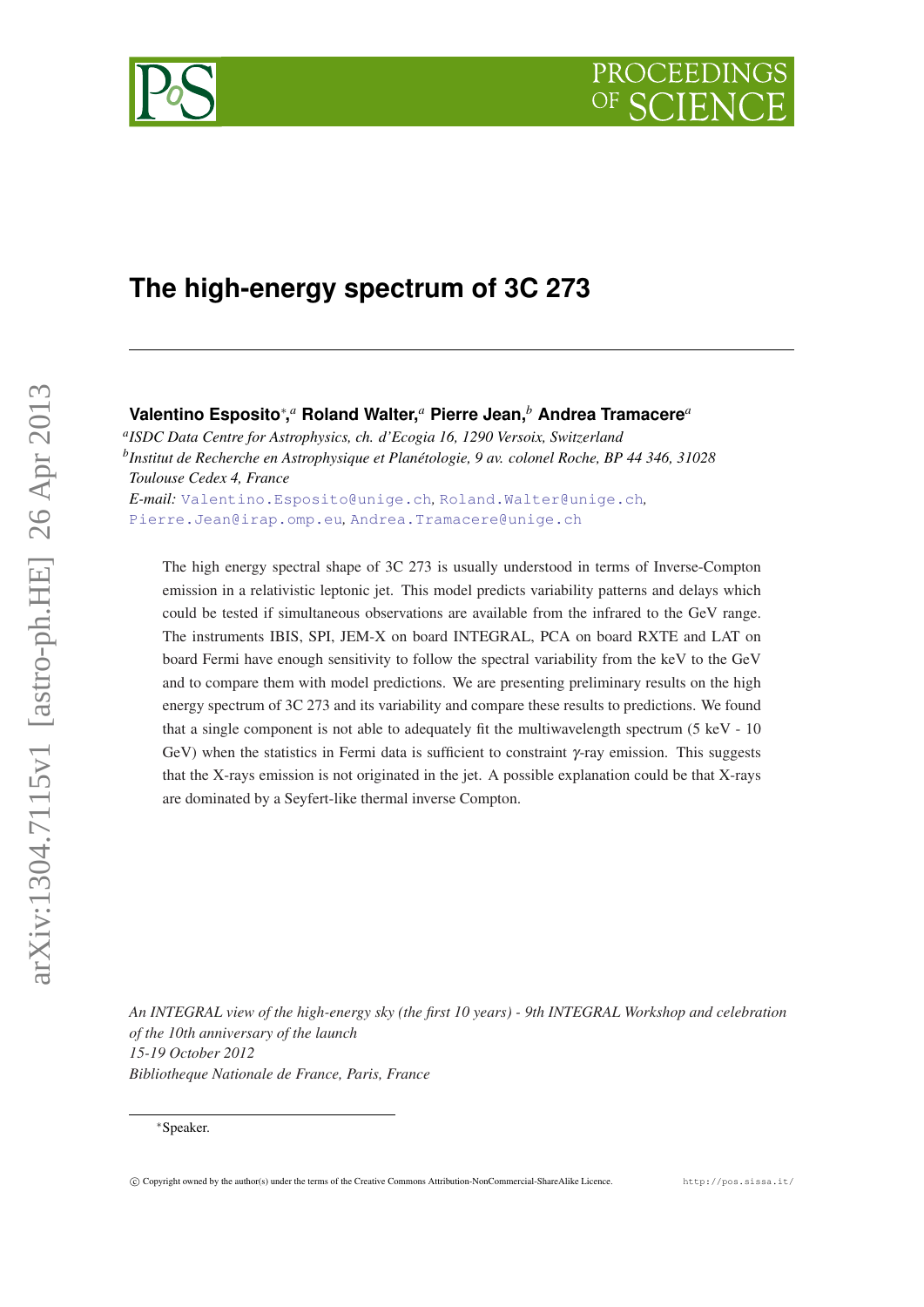# **The high-energy spectrum of 3C 273**

## **Valentino Esposito**<sup>∗</sup> **,** *<sup>a</sup>* **Roland Walter,***<sup>a</sup>* **Pierre Jean,***<sup>b</sup>* **Andrea Tramacere***<sup>a</sup>*

*a ISDC Data Centre for Astrophysics, ch. d'Ecogia 16, 1290 Versoix, Switzerland b Institut de Recherche en Astrophysique et Planétologie, 9 av. colonel Roche, BP 44 346, 31028 Toulouse Cedex 4, France E-mail:* [Valentino.Esposito@unige.ch](mailto:Valentino.Esposito@unige.ch)*,* [Roland.Walter@unige.ch](mailto:Roland.Walter@unige.ch)*,*

[Pierre.Jean@irap.omp.eu](mailto:Pierre.Jean@irap.omp.eu)*,* [Andrea.Tramacere@unige.ch](mailto:Andrea.Tramacere@unige.ch)

The high energy spectral shape of 3C 273 is usually understood in terms of Inverse-Compton emission in a relativistic leptonic jet. This model predicts variability patterns and delays which could be tested if simultaneous observations are available from the infrared to the GeV range. The instruments IBIS, SPI, JEM-X on board INTEGRAL, PCA on board RXTE and LAT on board Fermi have enough sensitivity to follow the spectral variability from the keV to the GeV and to compare them with model predictions. We are presenting preliminary results on the high energy spectrum of 3C 273 and its variability and compare these results to predictions. We found that a single component is not able to adequately fit the multiwavelength spectrum (5 keV - 10 GeV) when the statistics in Fermi data is sufficient to constraint  $\gamma$ -ray emission. This suggests that the X-rays emission is not originated in the jet. A possible explanation could be that X-rays are dominated by a Seyfert-like thermal inverse Compton.

*An INTEGRAL view of the high-energy sky (the first 10 years) - 9th INTEGRAL Workshop and celebration of the 10th anniversary of the launch 15-19 October 2012 Bibliotheque Nationale de France, Paris, France*





<sup>∗</sup>Speaker.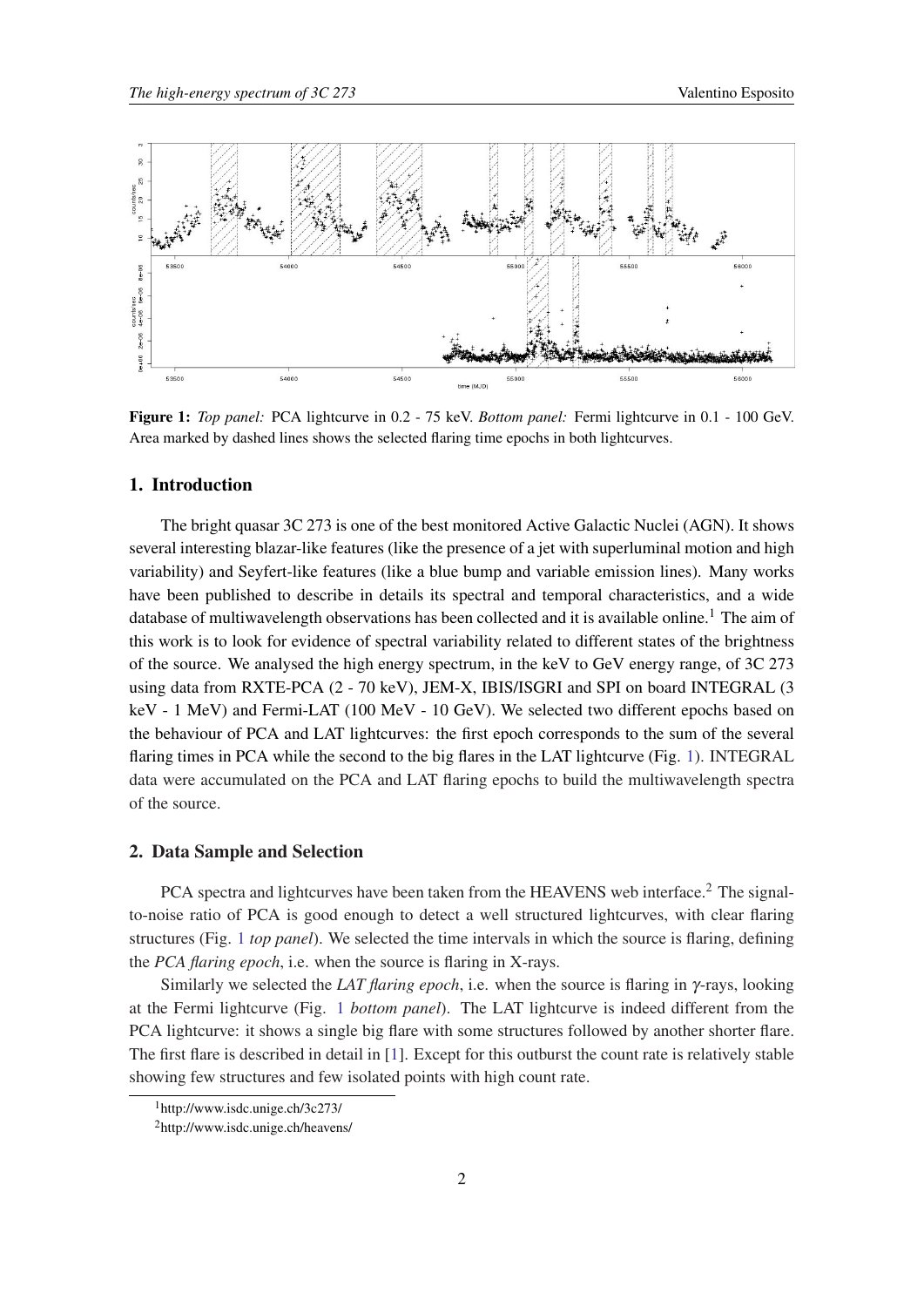<span id="page-1-0"></span>

Figure 1: *Top panel:* PCA lightcurve in 0.2 - 75 keV. *Bottom panel:* Fermi lightcurve in 0.1 - 100 GeV. Area marked by dashed lines shows the selected flaring time epochs in both lightcurves.

## 1. Introduction

The bright quasar 3C 273 is one of the best monitored Active Galactic Nuclei (AGN). It shows several interesting blazar-like features (like the presence of a jet with superluminal motion and high variability) and Seyfert-like features (like a blue bump and variable emission lines). Many works have been published to describe in details its spectral and temporal characteristics, and a wide database of multiwavelength observations has been collected and it is available online.<sup>1</sup> The aim of this work is to look for evidence of spectral variability related to different states of the brightness of the source. We analysed the high energy spectrum, in the keV to GeV energy range, of 3C 273 using data from RXTE-PCA (2 - 70 keV), JEM-X, IBIS/ISGRI and SPI on board INTEGRAL (3 keV - 1 MeV) and Fermi-LAT (100 MeV - 10 GeV). We selected two different epochs based on the behaviour of PCA and LAT lightcurves: the first epoch corresponds to the sum of the several flaring times in PCA while the second to the big flares in the LAT lightcurve (Fig. 1). INTEGRAL data were accumulated on the PCA and LAT flaring epochs to build the multiwavelength spectra of the source.

#### 2. Data Sample and Selection

PCA spectra and lightcurves have been taken from the HEAVENS web interface.<sup>2</sup> The signalto-noise ratio of PCA is good enough to detect a well structured lightcurves, with clear flaring structures (Fig. 1 *top panel*). We selected the time intervals in which the source is flaring, defining the *PCA flaring epoch*, i.e. when the source is flaring in X-rays.

Similarly we selected the *LAT flaring epoch*, i.e. when the source is flaring in γ-rays, looking at the Fermi lightcurve (Fig. 1 *bottom panel*). The LAT lightcurve is indeed different from the PCA lightcurve: it shows a single big flare with some structures followed by another shorter flare. The first flare is described in detail in [[1\]](#page-5-0). Except for this outburst the count rate is relatively stable showing few structures and few isolated points with high count rate.

<sup>1</sup>http://www.isdc.unige.ch/3c273/

<sup>2</sup>http://www.isdc.unige.ch/heavens/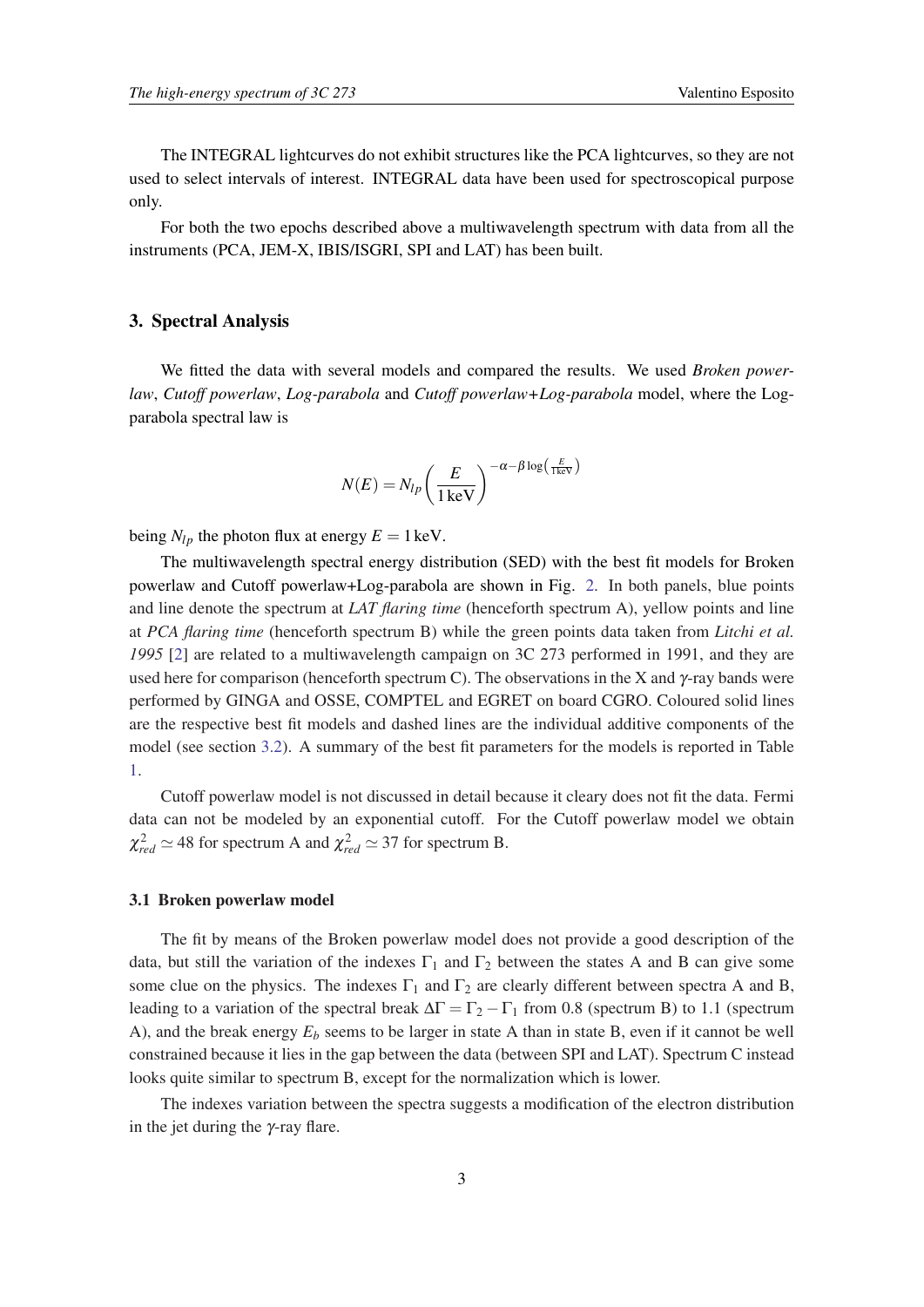The INTEGRAL lightcurves do not exhibit structures like the PCA lightcurves, so they are not used to select intervals of interest. INTEGRAL data have been used for spectroscopical purpose only.

For both the two epochs described above a multiwavelength spectrum with data from all the instruments (PCA, JEM-X, IBIS/ISGRI, SPI and LAT) has been built.

#### 3. Spectral Analysis

We fitted the data with several models and compared the results. We used *Broken powerlaw*, *Cutoff powerlaw*, *Log-parabola* and *Cutoff powerlaw+Log-parabola* model, where the Logparabola spectral law is

$$
N(E) = N_{lp} \left(\frac{E}{1 \text{ keV}}\right)^{-\alpha - \beta \log \left(\frac{E}{1 \text{ keV}}\right)}
$$

being  $N_{lp}$  the photon flux at energy  $E = 1 \text{ keV}$ .

The multiwavelength spectral energy distribution (SED) with the best fit models for Broken powerlaw and Cutoff powerlaw+Log-parabola are shown in Fig. [2.](#page-3-0) In both panels, blue points and line denote the spectrum at *LAT flaring time* (henceforth spectrum A), yellow points and line at *PCA flaring time* (henceforth spectrum B) while the green points data taken from *Litchi et al. 1995* [\[2\]](#page-5-0) are related to a multiwavelength campaign on 3C 273 performed in 1991, and they are used here for comparison (henceforth spectrum C). The observations in the X and  $\gamma$ -ray bands were performed by GINGA and OSSE, COMPTEL and EGRET on board CGRO. Coloured solid lines are the respective best fit models and dashed lines are the individual additive components of the model (see section [3.2\)](#page-3-0). A summary of the best fit parameters for the models is reported in Table [1.](#page-4-0)

Cutoff powerlaw model is not discussed in detail because it cleary does not fit the data. Fermi data can not be modeled by an exponential cutoff. For the Cutoff powerlaw model we obtain  $\chi^2_{red} \simeq 48$  for spectrum A and  $\chi^2_{red} \simeq 37$  for spectrum B.

#### 3.1 Broken powerlaw model

The fit by means of the Broken powerlaw model does not provide a good description of the data, but still the variation of the indexes  $\Gamma_1$  and  $\Gamma_2$  between the states A and B can give some some clue on the physics. The indexes  $\Gamma_1$  and  $\Gamma_2$  are clearly different between spectra A and B, leading to a variation of the spectral break  $\Delta\Gamma = \Gamma_2 - \Gamma_1$  from 0.8 (spectrum B) to 1.1 (spectrum A), and the break energy  $E_b$  seems to be larger in state A than in state B, even if it cannot be well constrained because it lies in the gap between the data (between SPI and LAT). Spectrum C instead looks quite similar to spectrum B, except for the normalization which is lower.

The indexes variation between the spectra suggests a modification of the electron distribution in the jet during the  $\gamma$ -ray flare.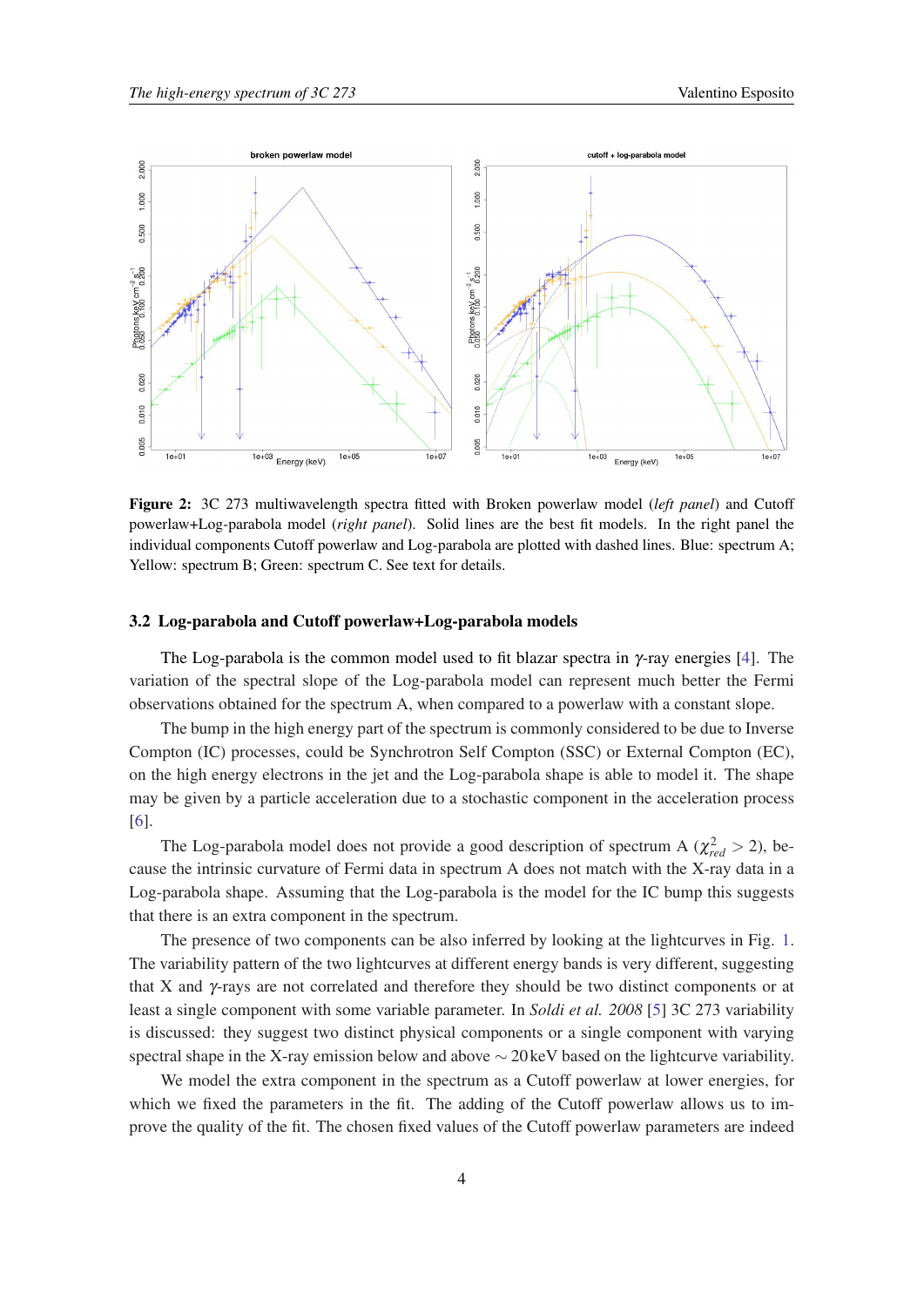<span id="page-3-0"></span>

Figure 2: 3C 273 multiwavelength spectra fitted with Broken powerlaw model (*left panel*) and Cutoff powerlaw+Log-parabola model (*right panel*). Solid lines are the best fit models. In the right panel the individual components Cutoff powerlaw and Log-parabola are plotted with dashed lines. Blue: spectrum A; Yellow: spectrum B; Green: spectrum C. See text for details.

### 3.2 Log-parabola and Cutoff powerlaw+Log-parabola models

The Log-parabola is the common model used to fit blazar spectra in  $\gamma$ -ray energies [\[4\]](#page-5-0). The variation of the spectral slope of the Log-parabola model can represent much better the Fermi observations obtained for the spectrum A, when compared to a powerlaw with a constant slope.

The bump in the high energy part of the spectrum is commonly considered to be due to Inverse Compton (IC) processes, could be Synchrotron Self Compton (SSC) or External Compton (EC), on the high energy electrons in the jet and the Log-parabola shape is able to model it. The shape may be given by a particle acceleration due to a stochastic component in the acceleration process [[6](#page-5-0)].

The Log-parabola model does not provide a good description of spectrum A ( $\chi^2_{red} > 2$ ), because the intrinsic curvature of Fermi data in spectrum A does not match with the X-ray data in a Log-parabola shape. Assuming that the Log-parabola is the model for the IC bump this suggests that there is an extra component in the spectrum.

The presence of two components can be also inferred by looking at the lightcurves in Fig. [1](#page-1-0). The variability pattern of the two lightcurves at different energy bands is very different, suggesting that X and  $\gamma$ -rays are not correlated and therefore they should be two distinct components or at least a single component with some variable parameter. In *Soldi et al. 2008* [[5](#page-5-0)] 3C 273 variability is discussed: they suggest two distinct physical components or a single component with varying spectral shape in the X-ray emission below and above ∼ 20 keV based on the lightcurve variability.

We model the extra component in the spectrum as a Cutoff powerlaw at lower energies, for which we fixed the parameters in the fit. The adding of the Cutoff powerlaw allows us to improve the quality of the fit. The chosen fixed values of the Cutoff powerlaw parameters are indeed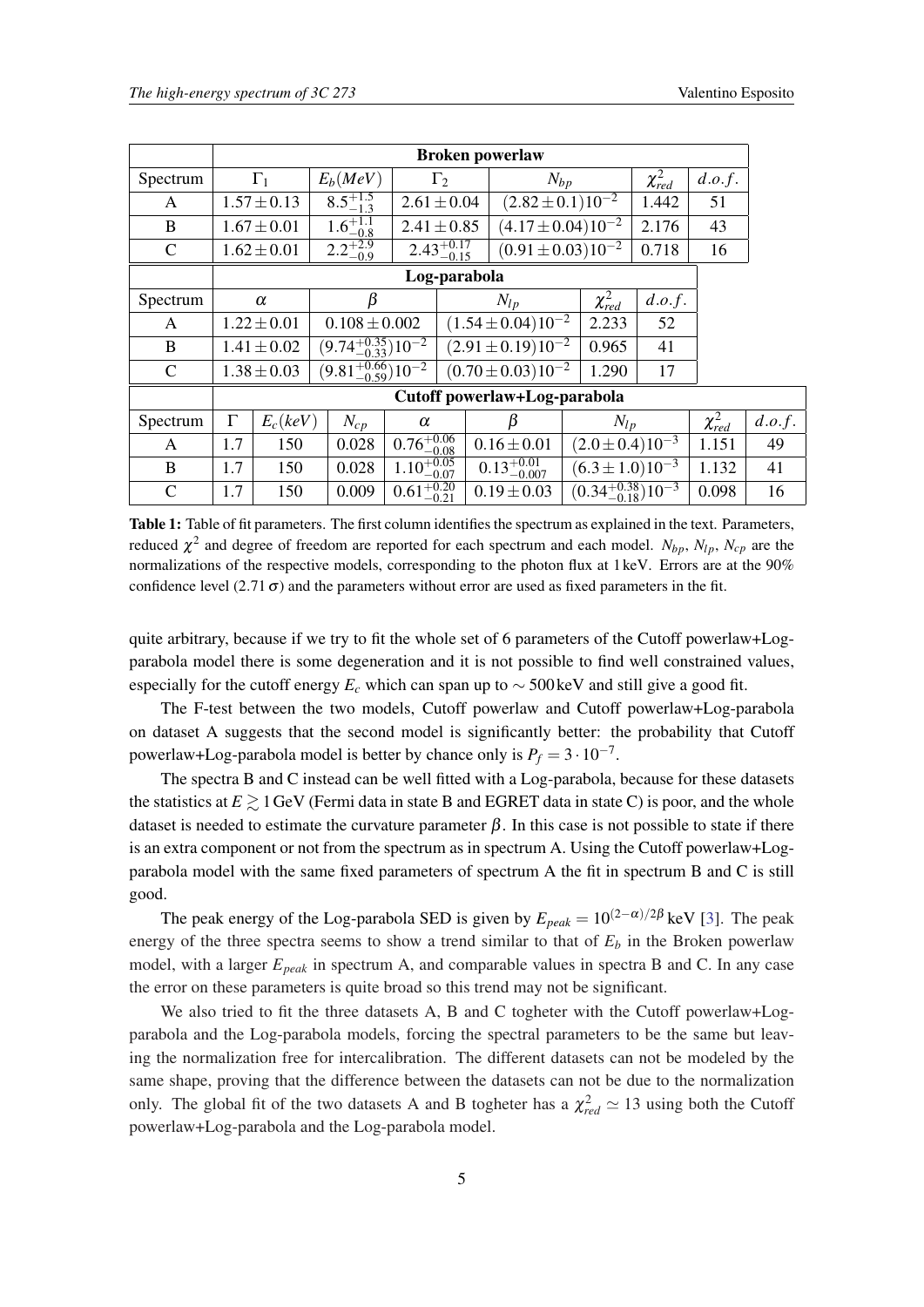<span id="page-4-0"></span>

|               | <b>Broken powerlaw</b>       |                 |                                 |                        |                           |                           |                                            |                |                |        |
|---------------|------------------------------|-----------------|---------------------------------|------------------------|---------------------------|---------------------------|--------------------------------------------|----------------|----------------|--------|
| Spectrum      | $\Gamma_1$                   |                 | $E_b(MeV)$                      | $\Gamma_2$             |                           | $N_{bp}$                  |                                            | $\chi^2_{red}$ | d.o.f.         |        |
| A             |                              | $1.57 \pm 0.13$ | $8.5^{+1.5}_{-1.3}$             | $2.61 \pm 0.04$        |                           |                           | $(2.82 \pm 0.1) 10^{-2}$                   |                | 51             |        |
| B             |                              | $1.67 \pm 0.01$ | $1.6^{+1.1}_{-0.8}$             | $2.41 \pm 0.85$        |                           | $(4.17 \pm 0.04) 10^{-2}$ |                                            | 2.176          | 43             |        |
| $\mathbf C$   |                              | $1.62 \pm 0.01$ | $2.2^{+2.9}_{-0.9}$             |                        | $2.43_{-0.15}^{+0.17}$    |                           | $(0.91 \pm 0.03) 10^{-2}$                  | 0.718          | 16             |        |
|               | Log-parabola                 |                 |                                 |                        |                           |                           |                                            |                |                |        |
| Spectrum      | $\alpha$                     |                 | β                               |                        |                           | $N_{lp}$                  |                                            | d.o.f.         |                |        |
| A             | $1.22 \pm 0.01$              |                 | $0.108 \pm 0.002$               |                        | $(1.54 \pm 0.04) 10^{-2}$ |                           | 2.233                                      | 52             |                |        |
| B             | $1.41 \pm 0.02$              |                 | $(9.74^{+0.35}_{-0.33})10^{-2}$ |                        | $(2.91 \pm 0.19) 10^{-2}$ |                           | 0.965                                      | 41             |                |        |
| $\mathcal{C}$ |                              | $1.38 \pm 0.03$ | $(9.81^{+0.66}_{-0.59})10^{-2}$ |                        |                           | $(0.70 \pm 0.03) 10^{-2}$ |                                            | 1.290<br>17    |                |        |
|               | Cutoff powerlaw+Log-parabola |                 |                                 |                        |                           |                           |                                            |                |                |        |
| Spectrum      | $\Gamma$                     | $E_c(keV)$      | $N_{cp}$                        |                        |                           | β<br>$N_{lp}$             |                                            |                | $\chi^2_{red}$ | d.o.f. |
| A             | 1.7                          | 150             | 0.028                           | $0.76^{+0.06}_{-0.08}$ |                           | $0.16 \pm 0.01$           | $(2.0 \pm 0.4) 10^{-3}$                    |                | 1.151          | 49     |
| B             | 1.7                          | 150             | 0.028                           | $1.10^{+0.05}_{-0.07}$ |                           | $0.13^{+0.01}_{-0.007}$   | $(6.3 \pm 1.0)10^{-3}$                     |                | 1.132          | 41     |
| $\mathsf{C}$  | 1.7                          | 150             | 0.009                           | $0.61_{-0.21}^{+0.20}$ |                           | $0.19 \pm 0.03$           | $\left(0.34_{-0.18}^{+0.38}\right)10^{-3}$ |                | 0.098          | 16     |

Table 1: Table of fit parameters. The first column identifies the spectrum as explained in the text. Parameters, reduced  $\chi^2$  and degree of freedom are reported for each spectrum and each model.  $N_{bp}$ ,  $N_{lp}$ ,  $N_{cp}$  are the normalizations of the respective models, corresponding to the photon flux at 1 keV. Errors are at the 90% confidence level  $(2.71 \sigma)$  and the parameters without error are used as fixed parameters in the fit.

quite arbitrary, because if we try to fit the whole set of 6 parameters of the Cutoff powerlaw+Logparabola model there is some degeneration and it is not possible to find well constrained values, especially for the cutoff energy  $E_c$  which can span up to  $\sim$  500 keV and still give a good fit.

The F-test between the two models, Cutoff powerlaw and Cutoff powerlaw+Log-parabola on dataset A suggests that the second model is significantly better: the probability that Cutoff powerlaw+Log-parabola model is better by chance only is  $P_f = 3 \cdot 10^{-7}$ .

The spectra B and C instead can be well fitted with a Log-parabola, because for these datasets the statistics at  $E \gtrsim 1$  GeV (Fermi data in state B and EGRET data in state C) is poor, and the whole dataset is needed to estimate the curvature parameter  $\beta$ . In this case is not possible to state if there is an extra component or not from the spectrum as in spectrum A. Using the Cutoff powerlaw+Logparabola model with the same fixed parameters of spectrum A the fit in spectrum B and C is still good.

The peak energy of the Log-parabola SED is given by  $E_{peak} = 10^{(2-\alpha)/2\beta}$  keV [[3](#page-5-0)]. The peak energy of the three spectra seems to show a trend similar to that of  $E<sub>b</sub>$  in the Broken powerlaw model, with a larger *Epeak* in spectrum A, and comparable values in spectra B and C. In any case the error on these parameters is quite broad so this trend may not be significant.

We also tried to fit the three datasets A, B and C togheter with the Cutoff powerlaw+Logparabola and the Log-parabola models, forcing the spectral parameters to be the same but leaving the normalization free for intercalibration. The different datasets can not be modeled by the same shape, proving that the difference between the datasets can not be due to the normalization only. The global fit of the two datasets A and B togheter has a  $\chi^2_{red} \simeq 13$  using both the Cutoff powerlaw+Log-parabola and the Log-parabola model.